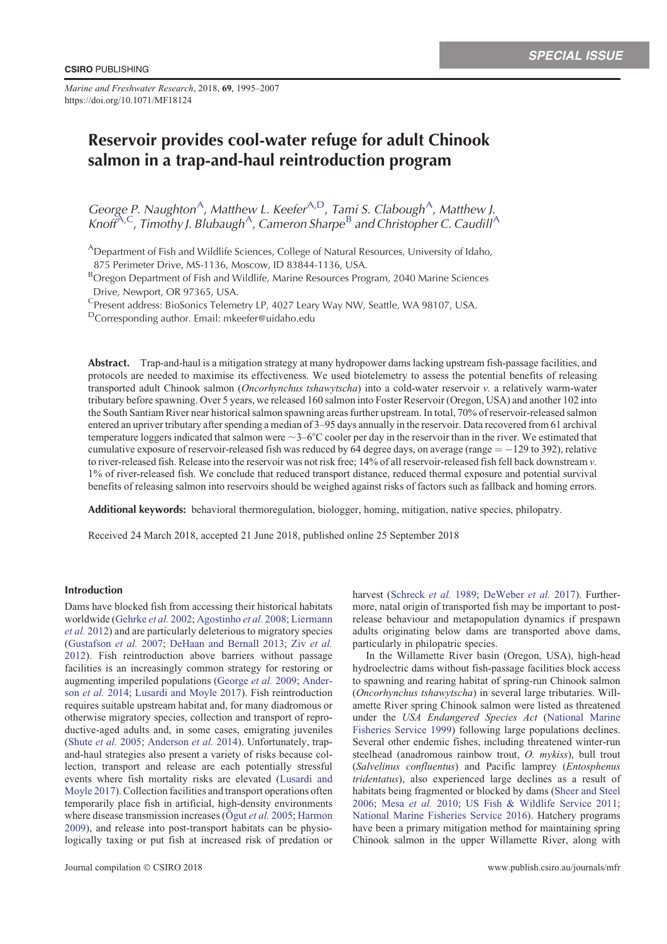*Marine and Freshwater Research*, 2018, **69**, 1995–2007 https://doi.org/10.1071/MF18124

# Reservoir provides cool-water refuge for adult Chinook salmon in a trap-and-haul reintroduction program

George P. Naughton<sup>A</sup>, Matthew L. Keefer<sup>A,D</sup>, Tami S. Clabough<sup>A</sup>, Matthew J. Knoff<sup>A,C</sup>, Timothy J. Blubaugh<sup>A</sup>, Cameron Sharpe<sup>B</sup> and Christopher C. Caudill<sup>A</sup>

<sup>A</sup>Department of Fish and Wildlife Sciences, College of Natural Resources, University of Idaho,

875 Perimeter Drive, MS-1136, Moscow, ID 83844-1136, USA.

<sup>B</sup>Oregon Department of Fish and Wildlife, Marine Resources Program, 2040 Marine Sciences Drive, Newport, OR 97365, USA.

<sup>C</sup>Present address: BioSonics Telemetry LP, 4027 Leary Way NW, Seattle, WA 98107, USA.

DCorresponding author. Email: mkeefer@uidaho.edu

Abstract. Trap-and-haul is a mitigation strategy at many hydropower dams lacking upstream fish-passage facilities, and protocols are needed to maximise its effectiveness. We used biotelemetry to assess the potential benefits of releasing transported adult Chinook salmon (*Oncorhynchus tshawytscha*) into a cold-water reservoir *v.* a relatively warm-water tributary before spawning. Over 5 years, we released 160 salmon into Foster Reservoir (Oregon, USA) and another 102 into the South Santiam River near historical salmon spawning areas further upstream. In total, 70% of reservoir-released salmon entered an upriver tributary after spending a median of 3–95 days annually in the reservoir. Data recovered from 61 archival temperature loggers indicated that salmon were  $\sim$ 3–6°C cooler per day in the reservoir than in the river. We estimated that cumulative exposure of reservoir-released fish was reduced by 64 degree days, on average (range  $= -129$  to 392), relative to river-released fish. Release into the reservoir was not risk free; 14% of all reservoir-released fish fell back downstream *v.* 1% of river-released fish. We conclude that reduced transport distance, reduced thermal exposure and potential survival benefits of releasing salmon into reservoirs should be weighed against risks of factors such as fallback and homing errors.

Additional keywords: behavioral thermoregulation, biologger, homing, mitigation, native species, philopatry.

Received 24 March 2018, accepted 21 June 2018, published online 25 September 2018

# Introduction

Dams have blocked fish from accessing their historical habitats worldwide [\(Gehrke](#page-10-0) *et al.* 2002; [Agostinho](#page-10-0) *et al.* 2008; [Liermann](#page-11-0) *et al.* [2012](#page-11-0)) and are particularly deleterious to migratory species ([Gustafson](#page-10-0) *et al.* 2007; [DeHaan and Bernall 2013;](#page-10-0) Ziv *[et al.](#page-12-0)* [2012\)](#page-12-0). Fish reintroduction above barriers without passage facilities is an increasingly common strategy for restoring or augmenting imperiled populations ([George](#page-10-0) *et al.* 2009; [Ander](#page-10-0)son *[et al.](#page-10-0)* 2014; [Lusardi and Moyle 2017\)](#page-11-0). Fish reintroduction requires suitable upstream habitat and, for many diadromous or otherwise migratory species, collection and transport of reproductive-aged adults and, in some cases, emigrating juveniles ([Shute](#page-12-0) *et al.* 2005; [Anderson](#page-10-0) *et al.* 2014). Unfortunately, trapand-haul strategies also present a variety of risks because collection, transport and release are each potentially stressful events where fish mortality risks are elevated ([Lusardi and](#page-11-0) [Moyle 2017](#page-11-0)). Collection facilities and transport operations often temporarily place fish in artificial, high-density environments where disease transmission increases ( $\ddot{O}$ gut *et al.* [2005](#page-11-0); [Harmon](#page-11-0) [2009\)](#page-11-0), and release into post-transport habitats can be physiologically taxing or put fish at increased risk of predation or harvest ([Schreck](#page-12-0) *et al.* 1989; [DeWeber](#page-10-0) *et al.* 2017). Furthermore, natal origin of transported fish may be important to postrelease behaviour and metapopulation dynamics if prespawn adults originating below dams are transported above dams, particularly in philopatric species.

In the Willamette River basin (Oregon, USA), high-head hydroelectric dams without fish-passage facilities block access to spawning and rearing habitat of spring-run Chinook salmon (*Oncorhynchus tshawytscha*) in several large tributaries. Willamette River spring Chinook salmon were listed as threatened under the *USA Endangered Species Act* [\(National Marine](#page-11-0) [Fisheries Service 1999](#page-11-0)) following large populations declines. Several other endemic fishes, including threatened winter-run steelhead (anadromous rainbow trout, *O. mykiss*), bull trout (*Salvelinus confluentus*) and Pacific lamprey (*Entosphenus tridentatus*), also experienced large declines as a result of habitats being fragmented or blocked by dams [\(Sheer and Steel](#page-12-0) [2006;](#page-12-0) Mesa *[et al.](#page-11-0)* 2010; [US Fish](#page-12-0) & [Wildlife Service 2011](#page-12-0); [National Marine Fisheries Service 2016\)](#page-11-0). Hatchery programs have been a primary mitigation method for maintaining spring Chinook salmon in the upper Willamette River, along with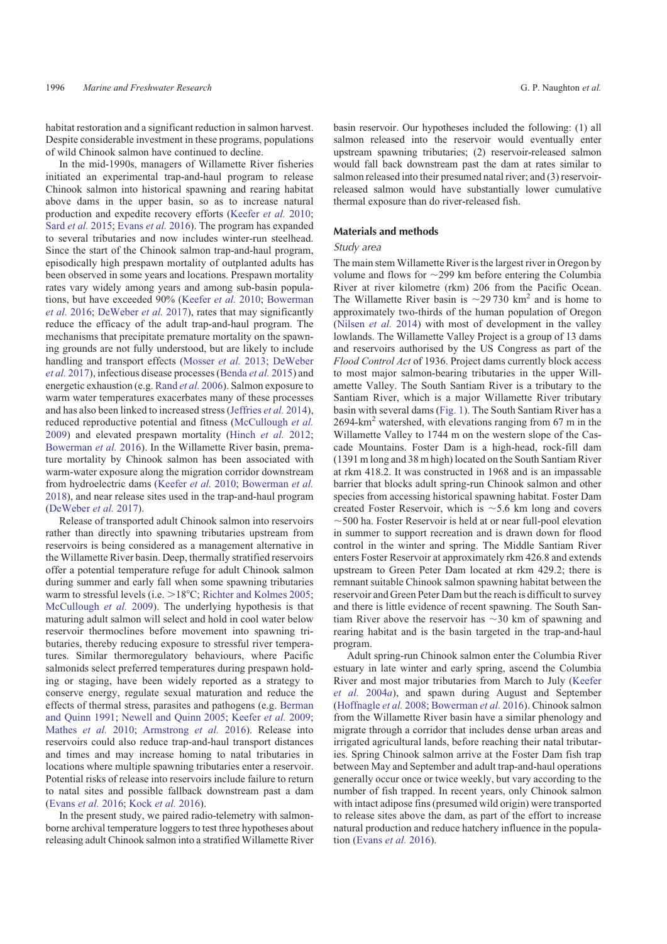habitat restoration and a significant reduction in salmon harvest. Despite considerable investment in these programs, populations of wild Chinook salmon have continued to decline.

In the mid-1990s, managers of Willamette River fisheries initiated an experimental trap-and-haul program to release Chinook salmon into historical spawning and rearing habitat above dams in the upper basin, so as to increase natural production and expedite recovery efforts ([Keefer](#page-11-0) *et al.* 2010; Sard *[et al.](#page-12-0)* 2015; [Evans](#page-10-0) *et al.* 2016). The program has expanded to several tributaries and now includes winter-run steelhead. Since the start of the Chinook salmon trap-and-haul program, episodically high prespawn mortality of outplanted adults has been observed in some years and locations. Prespawn mortality rates vary widely among years and among sub-basin populations, but have exceeded 90% [\(Keefer](#page-11-0) *et al.* 2010; [Bowerman](#page-10-0) *[et al.](#page-10-0)* 2016; [DeWeber](#page-10-0) *et al.* 2017), rates that may significantly reduce the efficacy of the adult trap-and-haul program. The mechanisms that precipitate premature mortality on the spawning grounds are not fully understood, but are likely to include handling and transport effects ([Mosser](#page-11-0) *et al.* 2013; [DeWeber](#page-10-0) *et al.* [2017\)](#page-10-0), infectious disease processes [\(Benda](#page-10-0) *et al.* 2015) and energetic exhaustion (e.g. [Rand](#page-12-0) *et al.* 2006). Salmon exposure to warm water temperatures exacerbates many of these processes and has also been linked to increased stress ([Jeffries](#page-11-0) *et al.* 2014), reduced reproductive potential and fitness [\(McCullough](#page-11-0) *et al.* [2009\)](#page-11-0) and elevated prespawn mortality [\(Hinch](#page-11-0) *et al.* 2012; [Bowerman](#page-10-0) *et al.* 2016). In the Willamette River basin, premature mortality by Chinook salmon has been associated with warm-water exposure along the migration corridor downstream from hydroelectric dams ([Keefer](#page-11-0) *et al.* 2010; [Bowerman](#page-10-0) *et al.* [2018\)](#page-10-0), and near release sites used in the trap-and-haul program ([DeWeber](#page-10-0) *et al.* 2017).

Release of transported adult Chinook salmon into reservoirs rather than directly into spawning tributaries upstream from reservoirs is being considered as a management alternative in the Willamette River basin. Deep, thermally stratified reservoirs offer a potential temperature refuge for adult Chinook salmon during summer and early fall when some spawning tributaries warm to stressful levels (i.e.  $>18^{\circ}$ C; [Richter and Kolmes 2005](#page-12-0); [McCullough](#page-11-0) *et al.* 2009). The underlying hypothesis is that maturing adult salmon will select and hold in cool water below reservoir thermoclines before movement into spawning tributaries, thereby reducing exposure to stressful river temperatures. Similar thermoregulatory behaviours, where Pacific salmonids select preferred temperatures during prespawn holding or staging, have been widely reported as a strategy to conserve energy, regulate sexual maturation and reduce the effects of thermal stress, parasites and pathogens (e.g. [Berman](#page-10-0) [and Quinn 1991](#page-10-0); [Newell and Quinn 2005](#page-11-0); [Keefer](#page-11-0) *et al.* 2009; [Mathes](#page-11-0) *et al.* 2010; [Armstrong](#page-10-0) *et al.* 2016). Release into reservoirs could also reduce trap-and-haul transport distances and times and may increase homing to natal tributaries in locations where multiple spawning tributaries enter a reservoir. Potential risks of release into reservoirs include failure to return to natal sites and possible fallback downstream past a dam ([Evans](#page-10-0) *et al.* 2016; [Kock](#page-11-0) *et al.* 2016).

In the present study, we paired radio-telemetry with salmonborne archival temperature loggers to test three hypotheses about releasing adult Chinook salmon into a stratified Willamette River basin reservoir. Our hypotheses included the following: (1) all salmon released into the reservoir would eventually enter upstream spawning tributaries; (2) reservoir-released salmon would fall back downstream past the dam at rates similar to salmon released into their presumed natal river; and (3) reservoirreleased salmon would have substantially lower cumulative thermal exposure than do river-released fish.

#### Materials and methods

# Study area

The main stem Willamette River is the largest river in Oregon by volume and flows for  $\sim$ 299 km before entering the Columbia River at river kilometre (rkm) 206 from the Pacific Ocean. The Willamette River basin is  $\sim$ 29 730 km<sup>2</sup> and is home to approximately two-thirds of the human population of Oregon [\(Nilsen](#page-11-0) *et al.* 2014) with most of development in the valley lowlands. The Willamette Valley Project is a group of 13 dams and reservoirs authorised by the US Congress as part of the *Flood Control Act* of 1936. Project dams currently block access to most major salmon-bearing tributaries in the upper Willamette Valley. The South Santiam River is a tributary to the Santiam River, which is a major Willamette River tributary basin with several dams [\(Fig. 1](#page-2-0)). The South Santiam River has a  $2694 \text{-} \text{km}^2$  watershed, with elevations ranging from 67 m in the Willamette Valley to 1744 m on the western slope of the Cascade Mountains. Foster Dam is a high-head, rock-fill dam (1391 m long and 38 m high) located on the South Santiam River at rkm 418.2. It was constructed in 1968 and is an impassable barrier that blocks adult spring-run Chinook salmon and other species from accessing historical spawning habitat. Foster Dam created Foster Reservoir, which is  $\sim$  5.6 km long and covers  $\sim$ 500 ha. Foster Reservoir is held at or near full-pool elevation in summer to support recreation and is drawn down for flood control in the winter and spring. The Middle Santiam River enters Foster Reservoir at approximately rkm 426.8 and extends upstream to Green Peter Dam located at rkm 429.2; there is remnant suitable Chinook salmon spawning habitat between the reservoir and Green Peter Dam but the reach is difficult to survey and there is little evidence of recent spawning. The South Santiam River above the reservoir has  $\sim$ 30 km of spawning and rearing habitat and is the basin targeted in the trap-and-haul program.

Adult spring-run Chinook salmon enter the Columbia River estuary in late winter and early spring, ascend the Columbia River and most major tributaries from March to July [\(Keefer](#page-11-0) *[et al.](#page-11-0)* 2004*a*), and spawn during August and September [\(Hoffnagle](#page-11-0) *et al.* 2008; [Bowerman](#page-10-0) *et al.* 2016). Chinook salmon from the Willamette River basin have a similar phenology and migrate through a corridor that includes dense urban areas and irrigated agricultural lands, before reaching their natal tributaries. Spring Chinook salmon arrive at the Foster Dam fish trap between May and September and adult trap-and-haul operations generally occur once or twice weekly, but vary according to the number of fish trapped. In recent years, only Chinook salmon with intact adipose fins (presumed wild origin) were transported to release sites above the dam, as part of the effort to increase natural production and reduce hatchery influence in the population [\(Evans](#page-10-0) *et al.* 2016).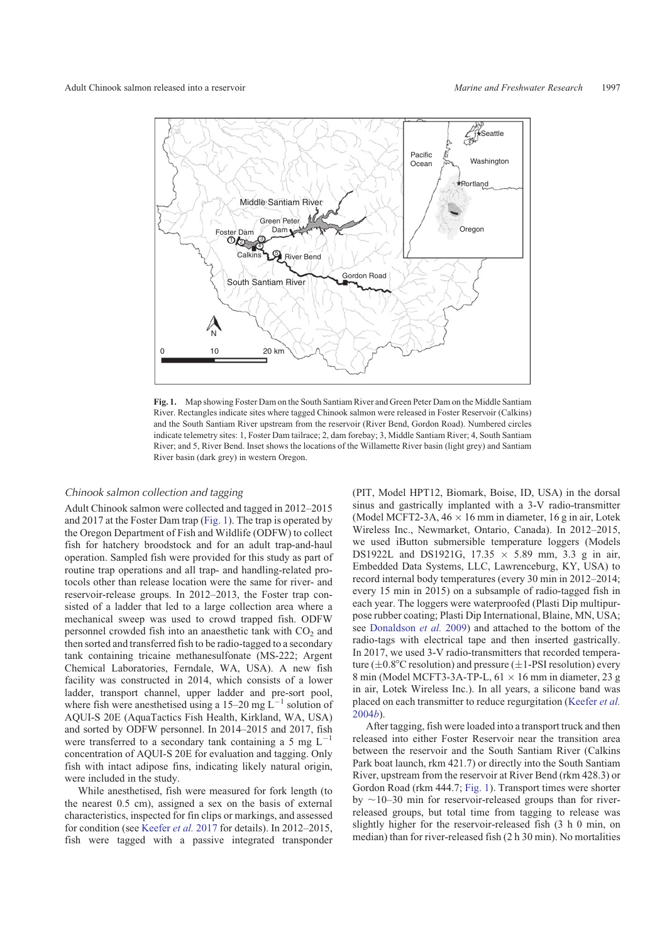<span id="page-2-0"></span>

**Fig. 1.** Map showing Foster Dam on the South Santiam River and Green Peter Dam on the Middle Santiam River. Rectangles indicate sites where tagged Chinook salmon were released in Foster Reservoir (Calkins) and the South Santiam River upstream from the reservoir (River Bend, Gordon Road). Numbered circles indicate telemetry sites: 1, Foster Dam tailrace; 2, dam forebay; 3, Middle Santiam River; 4, South Santiam River; and 5, River Bend. Inset shows the locations of the Willamette River basin (light grey) and Santiam River basin (dark grey) in western Oregon.

# Chinook salmon collection and tagging

Adult Chinook salmon were collected and tagged in 2012–2015 and 2017 at the Foster Dam trap (Fig. 1). The trap is operated by the Oregon Department of Fish and Wildlife (ODFW) to collect fish for hatchery broodstock and for an adult trap-and-haul operation. Sampled fish were provided for this study as part of routine trap operations and all trap- and handling-related protocols other than release location were the same for river- and reservoir-release groups. In 2012–2013, the Foster trap consisted of a ladder that led to a large collection area where a mechanical sweep was used to crowd trapped fish. ODFW personnel crowded fish into an anaesthetic tank with  $CO<sub>2</sub>$  and then sorted and transferred fish to be radio-tagged to a secondary tank containing tricaine methanesulfonate (MS-222; Argent Chemical Laboratories, Ferndale, WA, USA). A new fish facility was constructed in 2014, which consists of a lower ladder, transport channel, upper ladder and pre-sort pool, where fish were anesthetised using a 15–20 mg  $\mathbf{L}^{-1}$  solution of AQUI-S 20E (AquaTactics Fish Health, Kirkland, WA, USA) and sorted by ODFW personnel. In 2014–2015 and 2017, fish were transferred to a secondary tank containing a 5 mg  $L^{-1}$ concentration of AQUI-S 20E for evaluation and tagging. Only fish with intact adipose fins, indicating likely natural origin, were included in the study.

While anesthetised, fish were measured for fork length (to the nearest 0.5 cm), assigned a sex on the basis of external characteristics, inspected for fin clips or markings, and assessed for condition (see [Keefer](#page-11-0) *et al.* 2017 for details). In 2012–2015, fish were tagged with a passive integrated transponder (PIT, Model HPT12, Biomark, Boise, ID, USA) in the dorsal sinus and gastrically implanted with a 3-V radio-transmitter (Model MCFT2-3A,  $46 \times 16$  mm in diameter, 16 g in air, Lotek Wireless Inc., Newmarket, Ontario, Canada). In 2012–2015, we used iButton submersible temperature loggers (Models DS1922L and DS1921G,  $17.35 \times 5.89$  mm, 3.3 g in air, Embedded Data Systems, LLC, Lawrenceburg, KY, USA) to record internal body temperatures (every 30 min in 2012–2014; every 15 min in 2015) on a subsample of radio-tagged fish in each year. The loggers were waterproofed (Plasti Dip multipurpose rubber coating; Plasti Dip International, Blaine, MN, USA; see [Donaldson](#page-10-0) *et al.* 2009) and attached to the bottom of the radio-tags with electrical tape and then inserted gastrically. In 2017, we used 3-V radio-transmitters that recorded temperature ( $\pm$ 0.8°C resolution) and pressure ( $\pm$ 1-PSI resolution) every 8 min (Model MCFT3-3A-TP-L,  $61 \times 16$  mm in diameter, 23 g in air, Lotek Wireless Inc.). In all years, a silicone band was placed on each transmitter to reduce regurgitation [\(Keefer](#page-11-0) *et al.* [2004](#page-11-0)*b*).

After tagging, fish were loaded into a transport truck and then released into either Foster Reservoir near the transition area between the reservoir and the South Santiam River (Calkins Park boat launch, rkm 421.7) or directly into the South Santiam River, upstream from the reservoir at River Bend (rkm 428.3) or Gordon Road (rkm 444.7; Fig. 1). Transport times were shorter by  $\sim$ 10–30 min for reservoir-released groups than for riverreleased groups, but total time from tagging to release was slightly higher for the reservoir-released fish (3 h 0 min, on median) than for river-released fish (2 h 30 min). No mortalities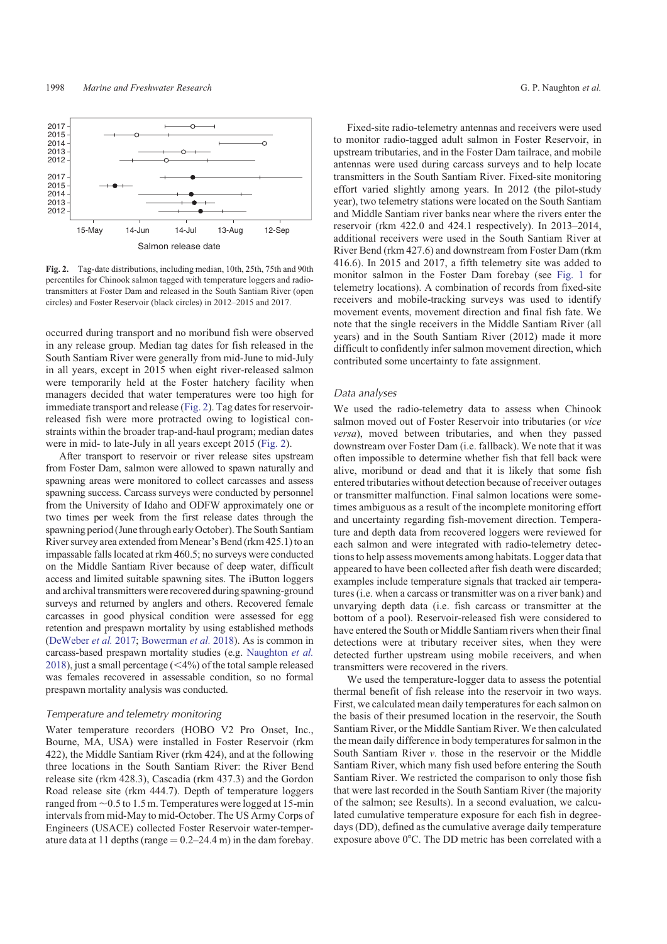<span id="page-3-0"></span>

**Fig. 2.** Tag-date distributions, including median, 10th, 25th, 75th and 90th percentiles for Chinook salmon tagged with temperature loggers and radiotransmitters at Foster Dam and released in the South Santiam River (open circles) and Foster Reservoir (black circles) in 2012–2015 and 2017.

occurred during transport and no moribund fish were observed in any release group. Median tag dates for fish released in the South Santiam River were generally from mid-June to mid-July in all years, except in 2015 when eight river-released salmon were temporarily held at the Foster hatchery facility when managers decided that water temperatures were too high for immediate transport and release (Fig. 2). Tag dates for reservoirreleased fish were more protracted owing to logistical constraints within the broader trap-and-haul program; median dates were in mid- to late-July in all years except 2015 (Fig. 2).

After transport to reservoir or river release sites upstream from Foster Dam, salmon were allowed to spawn naturally and spawning areas were monitored to collect carcasses and assess spawning success. Carcass surveys were conducted by personnel from the University of Idaho and ODFW approximately one or two times per week from the first release dates through the spawning period (Junethrough early October). The South Santiam River survey area extended from Menear's Bend (rkm 425.1) to an impassable falls located at rkm 460.5; no surveys were conducted on the Middle Santiam River because of deep water, difficult access and limited suitable spawning sites. The iButton loggers and archival transmitters were recovered during spawning-ground surveys and returned by anglers and others. Recovered female carcasses in good physical condition were assessed for egg retention and prespawn mortality by using established methods ([DeWeber](#page-10-0) *et al.* 2017; [Bowerman](#page-10-0) *et al.* 2018). As is common in carcass-based prespawn mortality studies (e.g. [Naughton](#page-11-0) *et al.* [2018](#page-11-0)), just a small percentage  $( $4\%$ )$  of the total sample released was females recovered in assessable condition, so no formal prespawn mortality analysis was conducted.

#### Temperature and telemetry monitoring

Water temperature recorders (HOBO V2 Pro Onset, Inc., Bourne, MA, USA) were installed in Foster Reservoir (rkm 422), the Middle Santiam River (rkm 424), and at the following three locations in the South Santiam River: the River Bend release site (rkm 428.3), Cascadia (rkm 437.3) and the Gordon Road release site (rkm 444.7). Depth of temperature loggers ranged from  $\sim$  0.5 to 1.5 m. Temperatures were logged at 15-min intervals from mid-May to mid-October. The US Army Corps of Engineers (USACE) collected Foster Reservoir water-temperature data at 11 depths (range  $= 0.2 - 24.4$  m) in the dam forebay.

Fixed-site radio-telemetry antennas and receivers were used to monitor radio-tagged adult salmon in Foster Reservoir, in upstream tributaries, and in the Foster Dam tailrace, and mobile antennas were used during carcass surveys and to help locate transmitters in the South Santiam River. Fixed-site monitoring effort varied slightly among years. In 2012 (the pilot-study year), two telemetry stations were located on the South Santiam and Middle Santiam river banks near where the rivers enter the reservoir (rkm 422.0 and 424.1 respectively). In 2013–2014, additional receivers were used in the South Santiam River at River Bend (rkm 427.6) and downstream from Foster Dam (rkm 416.6). In 2015 and 2017, a fifth telemetry site was added to monitor salmon in the Foster Dam forebay (see [Fig. 1](#page-2-0) for telemetry locations). A combination of records from fixed-site receivers and mobile-tracking surveys was used to identify movement events, movement direction and final fish fate. We note that the single receivers in the Middle Santiam River (all years) and in the South Santiam River (2012) made it more difficult to confidently infer salmon movement direction, which contributed some uncertainty to fate assignment.

#### Data analyses

We used the radio-telemetry data to assess when Chinook salmon moved out of Foster Reservoir into tributaries (or *vice versa*), moved between tributaries, and when they passed downstream over Foster Dam (i.e. fallback). We note that it was often impossible to determine whether fish that fell back were alive, moribund or dead and that it is likely that some fish entered tributaries without detection because of receiver outages or transmitter malfunction. Final salmon locations were sometimes ambiguous as a result of the incomplete monitoring effort and uncertainty regarding fish-movement direction. Temperature and depth data from recovered loggers were reviewed for each salmon and were integrated with radio-telemetry detections to help assess movements among habitats. Logger data that appeared to have been collected after fish death were discarded; examples include temperature signals that tracked air temperatures (i.e. when a carcass or transmitter was on a river bank) and unvarying depth data (i.e. fish carcass or transmitter at the bottom of a pool). Reservoir-released fish were considered to have entered the South or Middle Santiam rivers when their final detections were at tributary receiver sites, when they were detected further upstream using mobile receivers, and when transmitters were recovered in the rivers.

We used the temperature-logger data to assess the potential thermal benefit of fish release into the reservoir in two ways. First, we calculated mean daily temperatures for each salmon on the basis of their presumed location in the reservoir, the South Santiam River, or the Middle Santiam River. We then calculated the mean daily difference in body temperatures for salmon in the South Santiam River *v.* those in the reservoir or the Middle Santiam River, which many fish used before entering the South Santiam River. We restricted the comparison to only those fish that were last recorded in the South Santiam River (the majority of the salmon; see Results). In a second evaluation, we calculated cumulative temperature exposure for each fish in degreedays (DD), defined as the cumulative average daily temperature exposure above 0°C. The DD metric has been correlated with a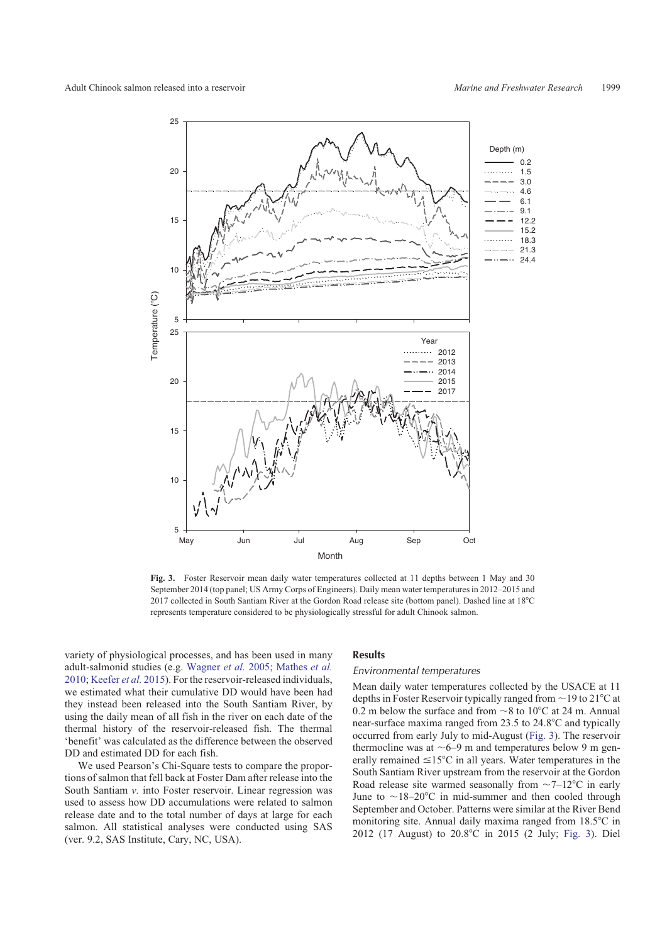

**Fig. 3.** Foster Reservoir mean daily water temperatures collected at 11 depths between 1 May and 30 September 2014 (top panel; US Army Corps of Engineers). Daily mean water temperatures in 2012–2015 and 2017 collected in South Santiam River at the Gordon Road release site (bottom panel). Dashed line at 18°C represents temperature considered to be physiologically stressful for adult Chinook salmon.

variety of physiological processes, and has been used in many adult-salmonid studies (e.g. [Wagner](#page-12-0) *et al.* 2005; [Mathes](#page-11-0) *et al.* [2010;](#page-11-0) [Keefer](#page-11-0) *et al.* 2015). For the reservoir-released individuals, we estimated what their cumulative DD would have been had they instead been released into the South Santiam River, by using the daily mean of all fish in the river on each date of the thermal history of the reservoir-released fish. The thermal 'benefit' was calculated as the difference between the observed DD and estimated DD for each fish.

We used Pearson's Chi-Square tests to compare the proportions of salmon that fell back at Foster Dam after release into the South Santiam *v*. into Foster reservoir. Linear regression was used to assess how DD accumulations were related to salmon release date and to the total number of days at large for each salmon. All statistical analyses were conducted using SAS (ver. 9.2, SAS Institute, Cary, NC, USA).

# Results

## Environmental temperatures

Mean daily water temperatures collected by the USACE at 11 depths in Foster Reservoir typically ranged from  $\sim$  19 to 21 $\degree$ C at 0.2 m below the surface and from  $\sim$ 8 to 10 $\degree$ C at 24 m. Annual near-surface maxima ranged from  $23.5$  to  $24.8^{\circ}$ C and typically occurred from early July to mid-August (Fig. 3). The reservoir thermocline was at  $\sim$  6–9 m and temperatures below 9 m generally remained  $\leq 15^{\circ}$ C in all years. Water temperatures in the South Santiam River upstream from the reservoir at the Gordon Road release site warmed seasonally from  $\sim$ 7–12°C in early June to  $\sim$ 18–20°C in mid-summer and then cooled through September and October. Patterns were similar at the River Bend monitoring site. Annual daily maxima ranged from  $18.5^{\circ}$ C in 2012 (17 August) to 20.8°C in 2015 (2 July; Fig. 3). Diel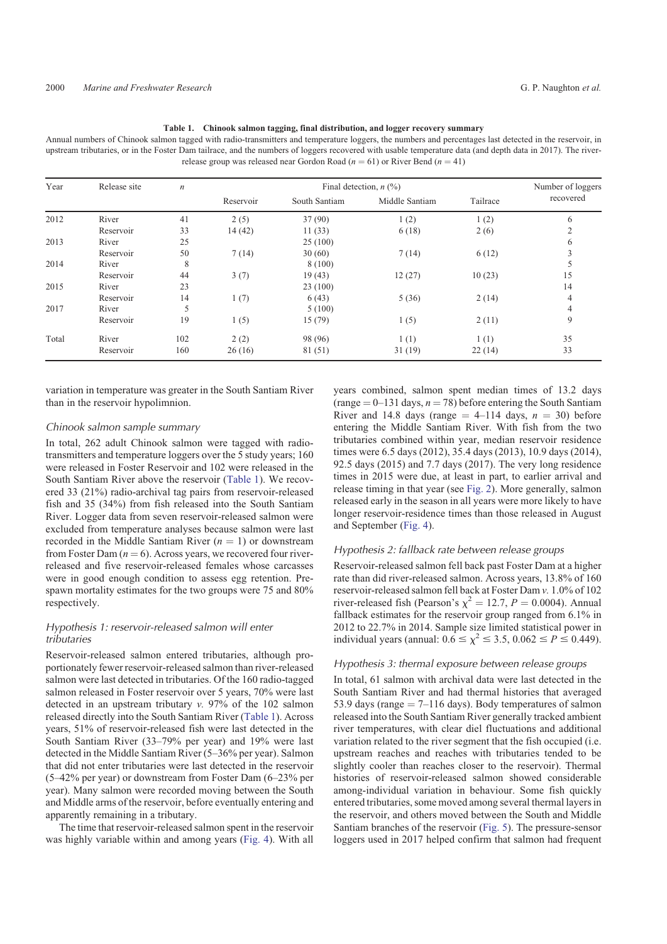| Table 1. Chinook salmon tagging, final distribution, and logger recovery summary |
|----------------------------------------------------------------------------------|
|                                                                                  |

<span id="page-5-0"></span>Annual numbers of Chinook salmon tagged with radio-transmitters and temperature loggers, the numbers and percentages last detected in the reservoir, in upstream tributaries, or in the Foster Dam tailrace, and the numbers of loggers recovered with usable temperature data (and depth data in 2017). The riverrelease group was released near Gordon Road ( $n = 61$ ) or River Bend ( $n = 41$ )

| Year  | Release site | $\sqrt{n}$ | Final detection, $n$ (%) |               |                |          | Number of loggers |
|-------|--------------|------------|--------------------------|---------------|----------------|----------|-------------------|
|       |              |            | Reservoir                | South Santiam | Middle Santiam | Tailrace | recovered         |
| 2012  | River        | 41         | 2(5)                     | 37(90)        | 1(2)           | 1(2)     | 6                 |
|       | Reservoir    | 33         | 14(42)                   | 11(33)        | 6(18)          | 2(6)     | $\overline{2}$    |
| 2013  | River        | 25         |                          | 25(100)       |                |          | 6                 |
|       | Reservoir    | 50         | 7(14)                    | 30(60)        | 7(14)          | 6(12)    | 3                 |
| 2014  | River        | 8          |                          | 8(100)        |                |          | 5                 |
|       | Reservoir    | 44         | 3(7)                     | 19(43)        | 12(27)         | 10(23)   | 15                |
| 2015  | River        | 23         |                          | 23(100)       |                |          | 14                |
|       | Reservoir    | 14         | 1(7)                     | 6(43)         | 5(36)          | 2(14)    | $\overline{4}$    |
| 2017  | River        | 5          |                          | 5(100)        |                |          | 4                 |
|       | Reservoir    | 19         | 1(5)                     | 15(79)        | 1(5)           | 2(11)    | 9                 |
| Total | River        | 102        | 2(2)                     | 98 (96)       | 1(1)           | 1(1)     | 35                |
|       | Reservoir    | 160        | 26(16)                   | 81 (51)       | 31(19)         | 22(14)   | 33                |

variation in temperature was greater in the South Santiam River than in the reservoir hypolimnion.

## Chinook salmon sample summary

In total, 262 adult Chinook salmon were tagged with radiotransmitters and temperature loggers over the 5 study years; 160 were released in Foster Reservoir and 102 were released in the South Santiam River above the reservoir (Table 1). We recovered 33 (21%) radio-archival tag pairs from reservoir-released fish and 35 (34%) from fish released into the South Santiam River. Logger data from seven reservoir-released salmon were excluded from temperature analyses because salmon were last recorded in the Middle Santiam River  $(n = 1)$  or downstream from Foster Dam  $(n = 6)$ . Across years, we recovered four riverreleased and five reservoir-released females whose carcasses were in good enough condition to assess egg retention. Prespawn mortality estimates for the two groups were 75 and 80% respectively.

# Hypothesis 1: reservoir-released salmon will enter tributaries

Reservoir-released salmon entered tributaries, although proportionately fewer reservoir-released salmon than river-released salmon were last detected in tributaries. Of the 160 radio-tagged salmon released in Foster reservoir over 5 years, 70% were last detected in an upstream tributary *v.* 97% of the 102 salmon released directly into the South Santiam River (Table 1). Across years, 51% of reservoir-released fish were last detected in the South Santiam River (33–79% per year) and 19% were last detected in the Middle Santiam River (5–36% per year). Salmon that did not enter tributaries were last detected in the reservoir (5–42% per year) or downstream from Foster Dam (6–23% per year). Many salmon were recorded moving between the South and Middle arms of the reservoir, before eventually entering and apparently remaining in a tributary.

The time that reservoir-released salmon spent in the reservoir was highly variable within and among years [\(Fig. 4](#page-6-0)). With all

years combined, salmon spent median times of 13.2 days  $(\text{range} = 0 - 131 \text{ days}, n = 78)$  before entering the South Santiam River and 14.8 days (range  $=$  4–114 days,  $n = 30$ ) before entering the Middle Santiam River. With fish from the two tributaries combined within year, median reservoir residence times were 6.5 days (2012), 35.4 days (2013), 10.9 days (2014), 92.5 days (2015) and 7.7 days (2017). The very long residence times in 2015 were due, at least in part, to earlier arrival and release timing in that year (see [Fig. 2\)](#page-3-0). More generally, salmon released early in the season in all years were more likely to have longer reservoir-residence times than those released in August and September [\(Fig. 4](#page-6-0)).

## Hypothesis 2: fallback rate between release groups

Reservoir-released salmon fell back past Foster Dam at a higher rate than did river-released salmon. Across years, 13.8% of 160 reservoir-released salmon fell back at Foster Dam *v.* 1.0% of 102 river-released fish (Pearson's  $\chi^2 = 12.7$ ,  $P = 0.0004$ ). Annual fallback estimates for the reservoir group ranged from 6.1% in 2012 to 22.7% in 2014. Sample size limited statistical power in individual years (annual:  $0.\vec{6} \le \chi^2 \le 3.5$ ,  $0.062 \le P \le 0.449$ ).

## Hypothesis 3: thermal exposure between release groups

In total, 61 salmon with archival data were last detected in the South Santiam River and had thermal histories that averaged 53.9 days (range  $= 7-116$  days). Body temperatures of salmon released into the South Santiam River generally tracked ambient river temperatures, with clear diel fluctuations and additional variation related to the river segment that the fish occupied (i.e. upstream reaches and reaches with tributaries tended to be slightly cooler than reaches closer to the reservoir). Thermal histories of reservoir-released salmon showed considerable among-individual variation in behaviour. Some fish quickly entered tributaries, some moved among several thermal layers in the reservoir, and others moved between the South and Middle Santiam branches of the reservoir [\(Fig. 5](#page-6-0)). The pressure-sensor loggers used in 2017 helped confirm that salmon had frequent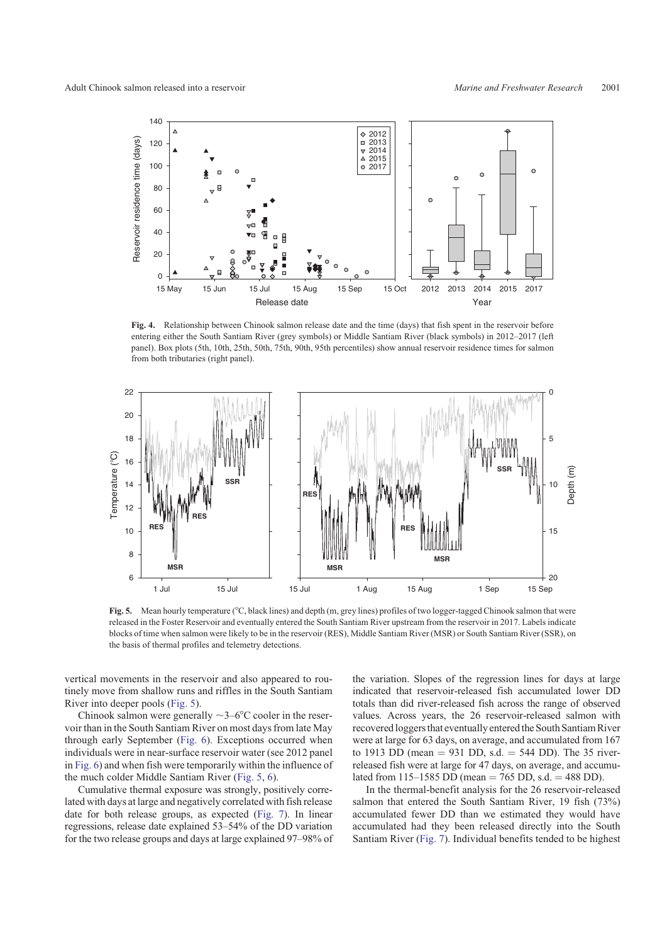<span id="page-6-0"></span>

**Fig. 4.** Relationship between Chinook salmon release date and the time (days) that fish spent in the reservoir before entering either the South Santiam River (grey symbols) or Middle Santiam River (black symbols) in 2012–2017 (left panel). Box plots (5th, 10th, 25th, 50th, 75th, 90th, 95th percentiles) show annual reservoir residence times for salmon from both tributaries (right panel).



Fig. 5. Mean hourly temperature (°C, black lines) and depth (m, grey lines) profiles of two logger-tagged Chinook salmon that were released in the Foster Reservoir and eventually entered the South Santiam River upstream from the reservoir in 2017. Labels indicate blocks of time when salmon were likely to be in the reservoir (RES), Middle Santiam River (MSR) or South Santiam River (SSR), on the basis of thermal profiles and telemetry detections.

vertical movements in the reservoir and also appeared to routinely move from shallow runs and riffles in the South Santiam River into deeper pools (Fig. 5).

Chinook salmon were generally  $\sim$ 3–6 $\degree$ C cooler in the reservoir than in the South Santiam River on most days from late May through early September [\(Fig. 6](#page-7-0)). Exceptions occurred when individuals were in near-surface reservoir water (see 2012 panel in [Fig. 6](#page-7-0)) and when fish were temporarily within the influence of the much colder Middle Santiam River (Fig. 5, [6](#page-7-0)).

Cumulative thermal exposure was strongly, positively correlated with days at large and negatively correlated with fish release date for both release groups, as expected ([Fig. 7](#page-8-0)). In linear regressions, release date explained 53–54% of the DD variation for the two release groups and days at large explained 97–98% of the variation. Slopes of the regression lines for days at large indicated that reservoir-released fish accumulated lower DD totals than did river-released fish across the range of observed values. Across years, the 26 reservoir-released salmon with recovered loggers that eventually entered the South Santiam River were at large for 63 days, on average, and accumulated from 167 to 1913 DD (mean  $= 931$  DD, s.d.  $= 544$  DD). The 35 riverreleased fish were at large for 47 days, on average, and accumulated from 115–1585 DD (mean = 765 DD, s.d. = 488 DD).

In the thermal-benefit analysis for the 26 reservoir-released salmon that entered the South Santiam River, 19 fish (73%) accumulated fewer DD than we estimated they would have accumulated had they been released directly into the South Santiam River ([Fig. 7\)](#page-8-0). Individual benefits tended to be highest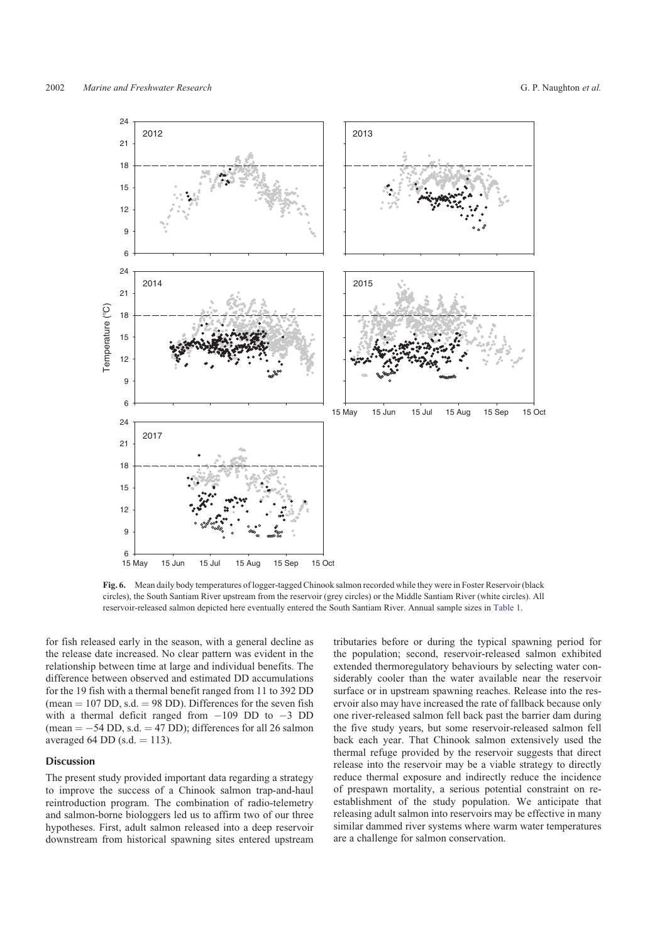<span id="page-7-0"></span>

**Fig. 6.** Mean daily body temperatures of logger-tagged Chinook salmon recorded while they were in Foster Reservoir (black circles), the South Santiam River upstream from the reservoir (grey circles) or the Middle Santiam River (white circles). All reservoir-released salmon depicted here eventually entered the South Santiam River. Annual sample sizes in [Table 1.](#page-5-0)

for fish released early in the season, with a general decline as the release date increased. No clear pattern was evident in the relationship between time at large and individual benefits. The difference between observed and estimated DD accumulations for the 19 fish with a thermal benefit ranged from 11 to 392 DD (mean  $= 107$  DD, s.d.  $= 98$  DD). Differences for the seven fish with a thermal deficit ranged from  $-109$  DD to  $-3$  DD  $(\text{mean} = -54 \text{ DD}, \text{s.d.} = 47 \text{ DD})$ ; differences for all 26 salmon averaged 64 DD (s.d.  $=$  113).

## Discussion

The present study provided important data regarding a strategy to improve the success of a Chinook salmon trap-and-haul reintroduction program. The combination of radio-telemetry and salmon-borne biologgers led us to affirm two of our three hypotheses. First, adult salmon released into a deep reservoir downstream from historical spawning sites entered upstream tributaries before or during the typical spawning period for the population; second, reservoir-released salmon exhibited extended thermoregulatory behaviours by selecting water considerably cooler than the water available near the reservoir surface or in upstream spawning reaches. Release into the reservoir also may have increased the rate of fallback because only one river-released salmon fell back past the barrier dam during the five study years, but some reservoir-released salmon fell back each year. That Chinook salmon extensively used the thermal refuge provided by the reservoir suggests that direct release into the reservoir may be a viable strategy to directly reduce thermal exposure and indirectly reduce the incidence of prespawn mortality, a serious potential constraint on reestablishment of the study population. We anticipate that releasing adult salmon into reservoirs may be effective in many similar dammed river systems where warm water temperatures are a challenge for salmon conservation.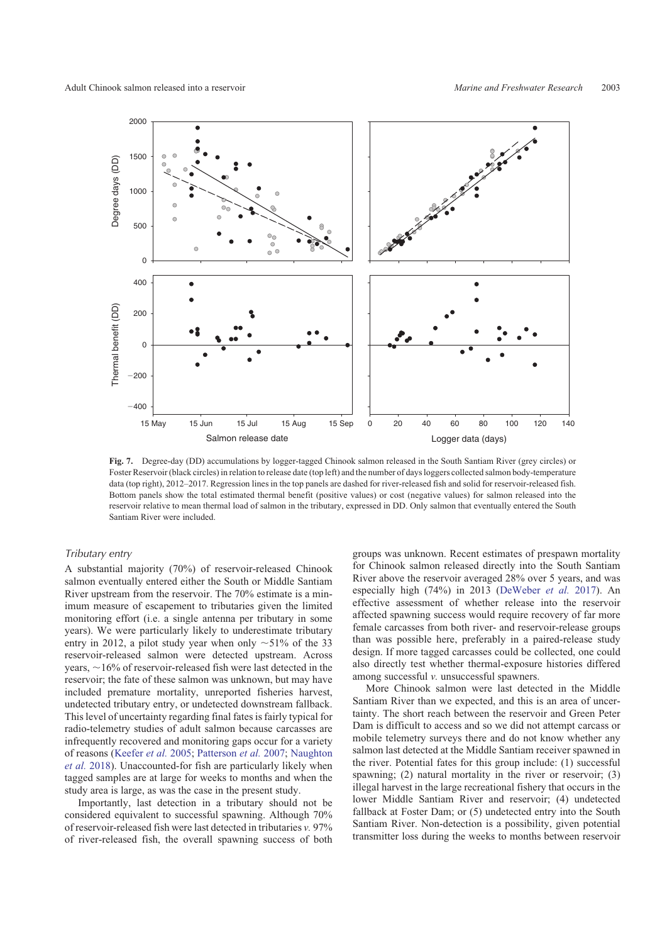<span id="page-8-0"></span>

**Fig. 7.** Degree-day (DD) accumulations by logger-tagged Chinook salmon released in the South Santiam River (grey circles) or Foster Reservoir (black circles) in relation to release date (top left) and the number of days loggers collected salmon body-temperature data (top right), 2012–2017. Regression lines in the top panels are dashed for river-released fish and solid for reservoir-released fish. Bottom panels show the total estimated thermal benefit (positive values) or cost (negative values) for salmon released into the reservoir relative to mean thermal load of salmon in the tributary, expressed in DD. Only salmon that eventually entered the South Santiam River were included.

# Tributary entry

A substantial majority (70%) of reservoir-released Chinook salmon eventually entered either the South or Middle Santiam River upstream from the reservoir. The 70% estimate is a minimum measure of escapement to tributaries given the limited monitoring effort (i.e. a single antenna per tributary in some years). We were particularly likely to underestimate tributary entry in 2012, a pilot study year when only  $\sim$  51% of the 33 reservoir-released salmon were detected upstream. Across years,  $\sim$ 16% of reservoir-released fish were last detected in the reservoir; the fate of these salmon was unknown, but may have included premature mortality, unreported fisheries harvest, undetected tributary entry, or undetected downstream fallback. This level of uncertainty regarding final fates is fairly typical for radio-telemetry studies of adult salmon because carcasses are infrequently recovered and monitoring gaps occur for a variety of reasons [\(Keefer](#page-11-0) *et al.* 2005; [Patterson](#page-11-0) *et al.* 2007; [Naughton](#page-11-0) *[et al.](#page-11-0)* 2018). Unaccounted-for fish are particularly likely when tagged samples are at large for weeks to months and when the study area is large, as was the case in the present study.

Importantly, last detection in a tributary should not be considered equivalent to successful spawning. Although 70% of reservoir-released fish were last detected in tributaries *v.* 97% of river-released fish, the overall spawning success of both groups was unknown. Recent estimates of prespawn mortality for Chinook salmon released directly into the South Santiam River above the reservoir averaged 28% over 5 years, and was especially high (74%) in 2013 [\(DeWeber](#page-10-0) *et al.* 2017). An effective assessment of whether release into the reservoir affected spawning success would require recovery of far more female carcasses from both river- and reservoir-release groups than was possible here, preferably in a paired-release study design. If more tagged carcasses could be collected, one could also directly test whether thermal-exposure histories differed among successful *v.* unsuccessful spawners.

More Chinook salmon were last detected in the Middle Santiam River than we expected, and this is an area of uncertainty. The short reach between the reservoir and Green Peter Dam is difficult to access and so we did not attempt carcass or mobile telemetry surveys there and do not know whether any salmon last detected at the Middle Santiam receiver spawned in the river. Potential fates for this group include: (1) successful spawning; (2) natural mortality in the river or reservoir; (3) illegal harvest in the large recreational fishery that occurs in the lower Middle Santiam River and reservoir; (4) undetected fallback at Foster Dam; or (5) undetected entry into the South Santiam River. Non-detection is a possibility, given potential transmitter loss during the weeks to months between reservoir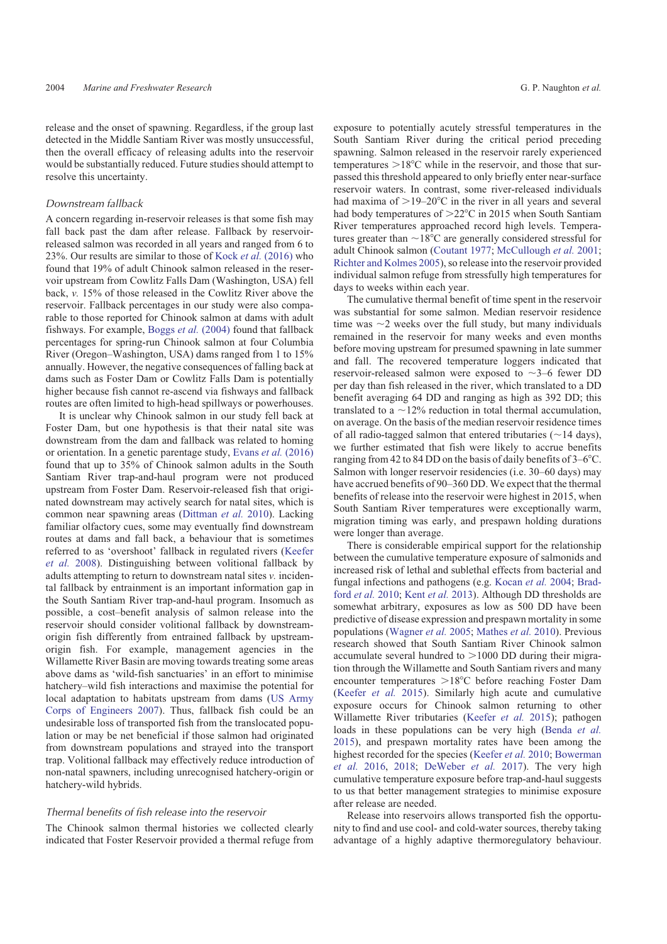release and the onset of spawning. Regardless, if the group last detected in the Middle Santiam River was mostly unsuccessful, then the overall efficacy of releasing adults into the reservoir would be substantially reduced. Future studies should attempt to resolve this uncertainty.

#### Downstream fallback

A concern regarding in-reservoir releases is that some fish may fall back past the dam after release. Fallback by reservoirreleased salmon was recorded in all years and ranged from 6 to 23%. Our results are similar to those of Kock *et al.* [\(2016\)](#page-11-0) who found that 19% of adult Chinook salmon released in the reservoir upstream from Cowlitz Falls Dam (Washington, USA) fell back, *v.* 15% of those released in the Cowlitz River above the reservoir. Fallback percentages in our study were also comparable to those reported for Chinook salmon at dams with adult fishways. For example, Boggs *et al.* [\(2004\)](#page-10-0) found that fallback percentages for spring-run Chinook salmon at four Columbia River (Oregon–Washington, USA) dams ranged from 1 to 15% annually. However, the negative consequences of falling back at dams such as Foster Dam or Cowlitz Falls Dam is potentially higher because fish cannot re-ascend via fishways and fallback routes are often limited to high-head spillways or powerhouses.

It is unclear why Chinook salmon in our study fell back at Foster Dam, but one hypothesis is that their natal site was downstream from the dam and fallback was related to homing or orientation. In a genetic parentage study, Evans *et al.* [\(2016\)](#page-10-0) found that up to 35% of Chinook salmon adults in the South Santiam River trap-and-haul program were not produced upstream from Foster Dam. Reservoir-released fish that originated downstream may actively search for natal sites, which is common near spawning areas ([Dittman](#page-10-0) *et al.* 2010). Lacking familiar olfactory cues, some may eventually find downstream routes at dams and fall back, a behaviour that is sometimes referred to as 'overshoot' fallback in regulated rivers [\(Keefer](#page-11-0) *[et al.](#page-11-0)* 2008). Distinguishing between volitional fallback by adults attempting to return to downstream natal sites *v.* incidental fallback by entrainment is an important information gap in the South Santiam River trap-and-haul program. Insomuch as possible, a cost–benefit analysis of salmon release into the reservoir should consider volitional fallback by downstreamorigin fish differently from entrained fallback by upstreamorigin fish. For example, management agencies in the Willamette River Basin are moving towards treating some areas above dams as 'wild-fish sanctuaries' in an effort to minimise hatchery–wild fish interactions and maximise the potential for local adaptation to habitats upstream from dams ([US Army](#page-12-0) [Corps of Engineers 2007\)](#page-12-0). Thus, fallback fish could be an undesirable loss of transported fish from the translocated population or may be net beneficial if those salmon had originated from downstream populations and strayed into the transport trap. Volitional fallback may effectively reduce introduction of non-natal spawners, including unrecognised hatchery-origin or hatchery-wild hybrids.

## Thermal benefits of fish release into the reservoir

The Chinook salmon thermal histories we collected clearly indicated that Foster Reservoir provided a thermal refuge from exposure to potentially acutely stressful temperatures in the South Santiam River during the critical period preceding spawning. Salmon released in the reservoir rarely experienced temperatures  $>18^{\circ}$ C while in the reservoir, and those that surpassed this threshold appeared to only briefly enter near-surface reservoir waters. In contrast, some river-released individuals had maxima of  $>19-20$ °C in the river in all years and several had body temperatures of  $>22^{\circ}$ C in 2015 when South Santiam River temperatures approached record high levels. Temperatures greater than  $\sim$ 18°C are generally considered stressful for adult Chinook salmon [\(Coutant 1977;](#page-10-0) [McCullough](#page-11-0) *et al.* 2001; [Richter and Kolmes 2005\)](#page-12-0), so release into the reservoir provided individual salmon refuge from stressfully high temperatures for days to weeks within each year.

The cumulative thermal benefit of time spent in the reservoir was substantial for some salmon. Median reservoir residence time was  $\sim$ 2 weeks over the full study, but many individuals remained in the reservoir for many weeks and even months before moving upstream for presumed spawning in late summer and fall. The recovered temperature loggers indicated that reservoir-released salmon were exposed to  $\sim$ 3–6 fewer DD per day than fish released in the river, which translated to a DD benefit averaging 64 DD and ranging as high as 392 DD; this translated to a  $\sim$ 12% reduction in total thermal accumulation, on average. On the basis of the median reservoir residence times of all radio-tagged salmon that entered tributaries ( $\sim$ 14 days), we further estimated that fish were likely to accrue benefits ranging from 42 to 84 DD on the basis of daily benefits of  $3-6^{\circ}$ C. Salmon with longer reservoir residencies (i.e. 30–60 days) may have accrued benefits of 90–360 DD. We expect that the thermal benefits of release into the reservoir were highest in 2015, when South Santiam River temperatures were exceptionally warm, migration timing was early, and prespawn holding durations were longer than average.

There is considerable empirical support for the relationship between the cumulative temperature exposure of salmonids and increased risk of lethal and sublethal effects from bacterial and fungal infections and pathogens (e.g. [Kocan](#page-11-0) *et al.* 2004; [Brad](#page-10-0)ford *[et al.](#page-10-0)* 2010; Kent *[et al.](#page-11-0)* 2013). Although DD thresholds are somewhat arbitrary, exposures as low as 500 DD have been predictive of disease expression and prespawn mortality in some populations ([Wagner](#page-12-0) *et al.* 2005; [Mathes](#page-11-0) *et al.* 2010). Previous research showed that South Santiam River Chinook salmon accumulate several hundred to  $>1000$  DD during their migration through the Willamette and South Santiam rivers and many encounter temperatures >18°C before reaching Foster Dam [\(Keefer](#page-11-0) *et al.* 2015). Similarly high acute and cumulative exposure occurs for Chinook salmon returning to other Willamette River tributaries ([Keefer](#page-11-0) *et al.* 2015); pathogen loads in these populations can be very high [\(Benda](#page-10-0) *et al.* [2015\)](#page-10-0), and prespawn mortality rates have been among the highest recorded for the species ([Keefer](#page-11-0) *et al.* 2010; [Bowerman](#page-10-0) *[et al.](#page-10-0)* 2016, [2018;](#page-10-0) [DeWeber](#page-10-0) *et al.* 2017). The very high cumulative temperature exposure before trap-and-haul suggests to us that better management strategies to minimise exposure after release are needed.

Release into reservoirs allows transported fish the opportunity to find and use cool- and cold-water sources, thereby taking advantage of a highly adaptive thermoregulatory behaviour.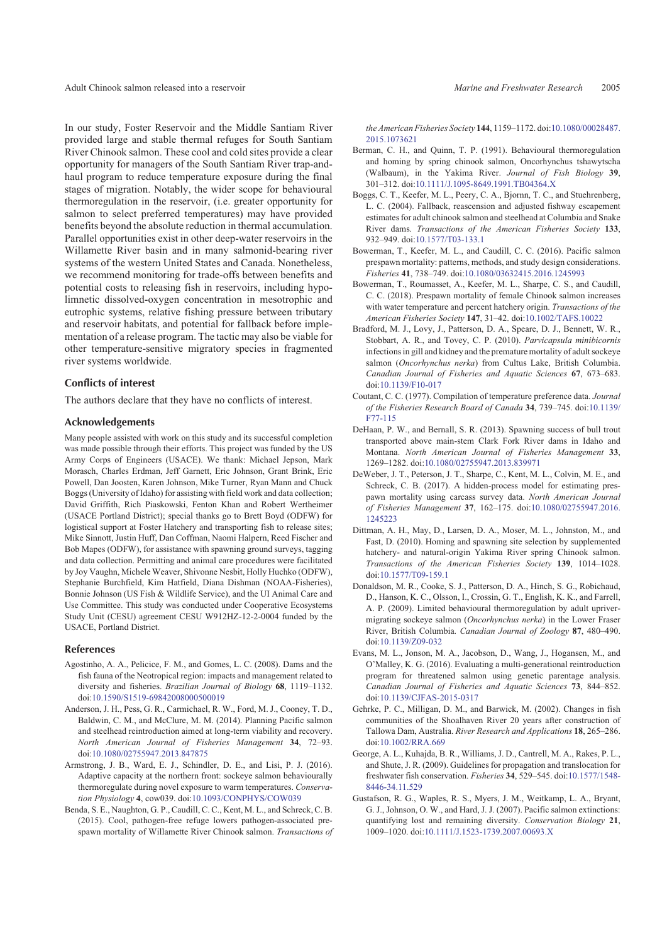<span id="page-10-0"></span>Adult Chinook salmon released into a reservoir *Marine and Freshwater Research* 2005

In our study, Foster Reservoir and the Middle Santiam River provided large and stable thermal refuges for South Santiam River Chinook salmon. These cool and cold sites provide a clear opportunity for managers of the South Santiam River trap-andhaul program to reduce temperature exposure during the final stages of migration. Notably, the wider scope for behavioural thermoregulation in the reservoir, (i.e. greater opportunity for salmon to select preferred temperatures) may have provided benefits beyond the absolute reduction in thermal accumulation. Parallel opportunities exist in other deep-water reservoirs in the Willamette River basin and in many salmonid-bearing river systems of the western United States and Canada. Nonetheless, we recommend monitoring for trade-offs between benefits and potential costs to releasing fish in reservoirs, including hypolimnetic dissolved-oxygen concentration in mesotrophic and eutrophic systems, relative fishing pressure between tributary and reservoir habitats, and potential for fallback before implementation of a release program. The tactic may also be viable for other temperature-sensitive migratory species in fragmented river systems worldwide.

#### Conflicts of interest

The authors declare that they have no conflicts of interest.

## Acknowledgements

Many people assisted with work on this study and its successful completion was made possible through their efforts. This project was funded by the US Army Corps of Engineers (USACE). We thank: Michael Jepson, Mark Morasch, Charles Erdman, Jeff Garnett, Eric Johnson, Grant Brink, Eric Powell, Dan Joosten, Karen Johnson, Mike Turner, Ryan Mann and Chuck Boggs (University of Idaho) for assisting with field work and data collection; David Griffith, Rich Piaskowski, Fenton Khan and Robert Wertheimer (USACE Portland District); special thanks go to Brett Boyd (ODFW) for logistical support at Foster Hatchery and transporting fish to release sites; Mike Sinnott, Justin Huff, Dan Coffman, Naomi Halpern, Reed Fischer and Bob Mapes (ODFW), for assistance with spawning ground surveys, tagging and data collection. Permitting and animal care procedures were facilitated by Joy Vaughn, Michele Weaver, Shivonne Nesbit, Holly Huchko (ODFW), Stephanie Burchfield, Kim Hatfield, Diana Dishman (NOAA-Fisheries), Bonnie Johnson (US Fish & Wildlife Service), and the UI Animal Care and Use Committee. This study was conducted under Cooperative Ecosystems Study Unit (CESU) agreement CESU W912HZ-12-2-0004 funded by the USACE, Portland District.

#### References

- Agostinho, A. A., Pelicice, F. M., and Gomes, L. C. (2008). Dams and the fish fauna of the Neotropical region: impacts and management related to diversity and fisheries. *Brazilian Journal of Biology* **68**, 1119–1132. doi[:10.1590/S1519-69842008000500019](http://dx.doi.org/10.1590/S1519-69842008000500019)
- Anderson, J. H., Pess, G. R., Carmichael, R. W., Ford, M. J., Cooney, T. D., Baldwin, C. M., and McClure, M. M. (2014). Planning Pacific salmon and steelhead reintroduction aimed at long-term viability and recovery. *North American Journal of Fisheries Management* **34**, 72–93. doi[:10.1080/02755947.2013.847875](http://dx.doi.org/10.1080/02755947.2013.847875)
- Armstrong, J. B., Ward, E. J., Schindler, D. E., and Lisi, P. J. (2016). Adaptive capacity at the northern front: sockeye salmon behaviourally thermoregulate during novel exposure to warm temperatures. *Conservation Physiology* **4**, cow039. doi[:10.1093/CONPHYS/COW039](http://dx.doi.org/10.1093/CONPHYS/COW039)
- Benda, S. E., Naughton, G. P., Caudill, C. C., Kent, M. L., and Schreck, C. B. (2015). Cool, pathogen-free refuge lowers pathogen-associated prespawn mortality of Willamette River Chinook salmon. *Transactions of*

*the American Fisheries Society* **144**, 1159–1172. doi[:10.1080/00028487.](http://dx.doi.org/10.1080/00028487.2015.1073621) [2015.1073621](http://dx.doi.org/10.1080/00028487.2015.1073621)

- Berman, C. H., and Quinn, T. P. (1991). Behavioural thermoregulation and homing by spring chinook salmon, Oncorhynchus tshawytscha (Walbaum), in the Yakima River. *Journal of Fish Biology* **39**, 301–312. doi[:10.1111/J.1095-8649.1991.TB04364.X](http://dx.doi.org/10.1111/J.1095-8649.1991.TB04364.X)
- Boggs, C. T., Keefer, M. L., Peery, C. A., Bjornn, T. C., and Stuehrenberg, L. C. (2004). Fallback, reascension and adjusted fishway escapement estimates for adult chinook salmon and steelhead at Columbia and Snake River dams. *Transactions of the American Fisheries Society* **133**, 932–949. doi[:10.1577/T03-133.1](http://dx.doi.org/10.1577/T03-133.1)
- Bowerman, T., Keefer, M. L., and Caudill, C. C. (2016). Pacific salmon prespawn mortality: patterns, methods, and study design considerations. *Fisheries* **41**, 738–749. doi:[10.1080/03632415.2016.1245993](http://dx.doi.org/10.1080/03632415.2016.1245993)
- Bowerman, T., Roumasset, A., Keefer, M. L., Sharpe, C. S., and Caudill, C. C. (2018). Prespawn mortality of female Chinook salmon increases with water temperature and percent hatchery origin. *Transactions of the American Fisheries Society* **147**, 31–42. doi[:10.1002/TAFS.10022](http://dx.doi.org/10.1002/TAFS.10022)
- Bradford, M. J., Lovy, J., Patterson, D. A., Speare, D. J., Bennett, W. R., Stobbart, A. R., and Tovey, C. P. (2010). *Parvicapsula minibicornis* infections in gill and kidney and the premature mortality of adult sockeye salmon (*Oncorhynchus nerka*) from Cultus Lake, British Columbia. *Canadian Journal of Fisheries and Aquatic Sciences* **67**, 673–683. doi[:10.1139/F10-017](http://dx.doi.org/10.1139/F10-017)
- Coutant, C. C. (1977). Compilation of temperature preference data. *Journal of the Fisheries Research Board of Canada* **34**, 739–745. doi:[10.1139/](http://dx.doi.org/10.1139/F77-115) [F77-115](http://dx.doi.org/10.1139/F77-115)
- DeHaan, P. W., and Bernall, S. R. (2013). Spawning success of bull trout transported above main-stem Clark Fork River dams in Idaho and Montana. *North American Journal of Fisheries Management* **33**, 1269–1282. doi[:10.1080/02755947.2013.839971](http://dx.doi.org/10.1080/02755947.2013.839971)
- DeWeber, J. T., Peterson, J. T., Sharpe, C., Kent, M. L., Colvin, M. E., and Schreck, C. B. (2017). A hidden-process model for estimating prespawn mortality using carcass survey data. *North American Journal of Fisheries Management* **37**, 162–175. doi[:10.1080/02755947.2016.](http://dx.doi.org/10.1080/02755947.2016.1245223) [1245223](http://dx.doi.org/10.1080/02755947.2016.1245223)
- Dittman, A. H., May, D., Larsen, D. A., Moser, M. L., Johnston, M., and Fast, D. (2010). Homing and spawning site selection by supplemented hatchery- and natural-origin Yakima River spring Chinook salmon. *Transactions of the American Fisheries Society* **139**, 1014–1028. doi[:10.1577/T09-159.1](http://dx.doi.org/10.1577/T09-159.1)
- Donaldson, M. R., Cooke, S. J., Patterson, D. A., Hinch, S. G., Robichaud, D., Hanson, K. C., Olsson, I., Crossin, G. T., English, K. K., and Farrell, A. P. (2009). Limited behavioural thermoregulation by adult uprivermigrating sockeye salmon (*Oncorhynchus nerka*) in the Lower Fraser River, British Columbia. *Canadian Journal of Zoology* **87**, 480–490. doi[:10.1139/Z09-032](http://dx.doi.org/10.1139/Z09-032)
- Evans, M. L., Jonson, M. A., Jacobson, D., Wang, J., Hogansen, M., and O'Malley, K. G. (2016). Evaluating a multi-generational reintroduction program for threatened salmon using genetic parentage analysis. *Canadian Journal of Fisheries and Aquatic Sciences* **73**, 844–852. doi[:10.1139/CJFAS-2015-0317](http://dx.doi.org/10.1139/CJFAS-2015-0317)
- Gehrke, P. C., Milligan, D. M., and Barwick, M. (2002). Changes in fish communities of the Shoalhaven River 20 years after construction of Tallowa Dam, Australia. *River Research and Applications* **18**, 265–286. doi[:10.1002/RRA.669](http://dx.doi.org/10.1002/RRA.669)
- George, A. L., Kuhajda, B. R., Williams, J. D., Cantrell, M. A., Rakes, P. L., and Shute, J. R. (2009). Guidelines for propagation and translocation for freshwater fish conservation. *Fisheries* **34**, 529–545. doi[:10.1577/1548-](http://dx.doi.org/10.1577/1548-8446-34.11.529) [8446-34.11.529](http://dx.doi.org/10.1577/1548-8446-34.11.529)
- Gustafson, R. G., Waples, R. S., Myers, J. M., Weitkamp, L. A., Bryant, G. J., Johnson, O. W., and Hard, J. J. (2007). Pacific salmon extinctions: quantifying lost and remaining diversity. *Conservation Biology* **21**, 1009–1020. doi[:10.1111/J.1523-1739.2007.00693.X](http://dx.doi.org/10.1111/J.1523-1739.2007.00693.X)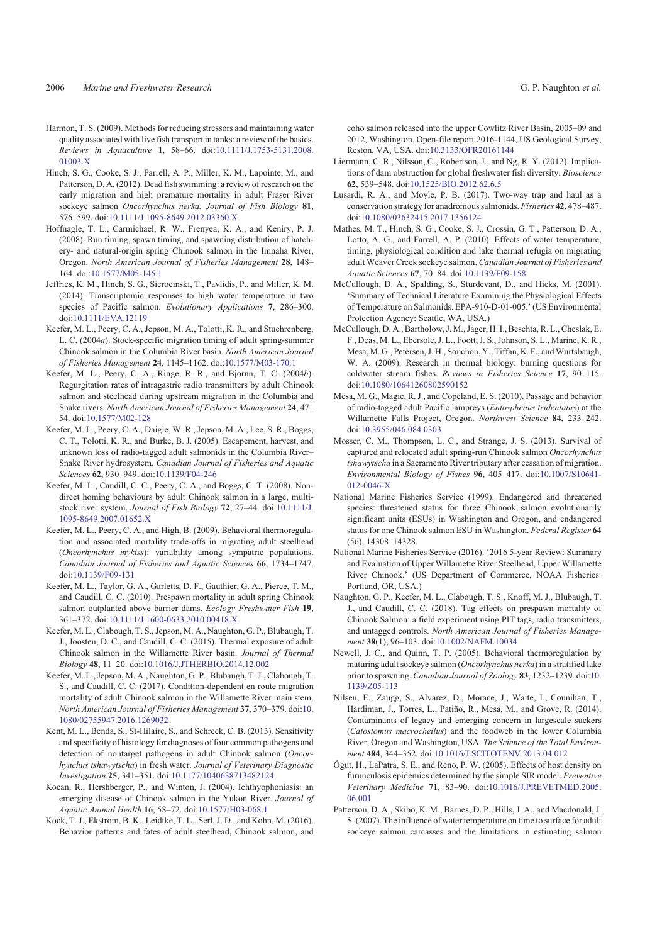- <span id="page-11-0"></span>Harmon, T. S. (2009). Methods for reducing stressors and maintaining water quality associated with live fish transport in tanks: a review of the basics. *Reviews in Aquaculture* **1**, 58–66. doi:[10.1111/J.1753-5131.2008.](http://dx.doi.org/10.1111/J.1753-5131.2008.01003.X) [01003.X](http://dx.doi.org/10.1111/J.1753-5131.2008.01003.X)
- Hinch, S. G., Cooke, S. J., Farrell, A. P., Miller, K. M., Lapointe, M., and Patterson, D. A. (2012). Dead fish swimming: a review of research on the early migration and high premature mortality in adult Fraser River sockeye salmon *Oncorhynchus nerka. Journal of Fish Biology* **81**, 576–599. doi[:10.1111/J.1095-8649.2012.03360.X](http://dx.doi.org/10.1111/J.1095-8649.2012.03360.X)
- Hoffnagle, T. L., Carmichael, R. W., Frenyea, K. A., and Keniry, P. J. (2008). Run timing, spawn timing, and spawning distribution of hatchery- and natural-origin spring Chinook salmon in the Imnaha River, Oregon. *North American Journal of Fisheries Management* **28**, 148– 164. doi[:10.1577/M05-145.1](http://dx.doi.org/10.1577/M05-145.1)
- Jeffries, K. M., Hinch, S. G., Sierocinski, T., Pavlidis, P., and Miller, K. M. (2014). Transcriptomic responses to high water temperature in two species of Pacific salmon. *Evolutionary Applications* **7**, 286–300. doi[:10.1111/EVA.12119](http://dx.doi.org/10.1111/EVA.12119)
- Keefer, M. L., Peery, C. A., Jepson, M. A., Tolotti, K. R., and Stuehrenberg, L. C. (2004*a*). Stock-specific migration timing of adult spring-summer Chinook salmon in the Columbia River basin. *North American Journal of Fisheries Management* **24**, 1145–1162. doi:[10.1577/M03-170.1](http://dx.doi.org/10.1577/M03-170.1)
- Keefer, M. L., Peery, C. A., Ringe, R. R., and Bjornn, T. C. (2004*b*). Regurgitation rates of intragastric radio transmitters by adult Chinook salmon and steelhead during upstream migration in the Columbia and Snake rivers. *North American Journal of Fisheries Management* **24**, 47– 54. doi[:10.1577/M02-128](http://dx.doi.org/10.1577/M02-128)
- Keefer, M. L., Peery, C. A., Daigle, W. R., Jepson, M. A., Lee, S. R., Boggs, C. T., Tolotti, K. R., and Burke, B. J. (2005). Escapement, harvest, and unknown loss of radio-tagged adult salmonids in the Columbia River– Snake River hydrosystem. *Canadian Journal of Fisheries and Aquatic Sciences* **62**, 930–949. doi:[10.1139/F04-246](http://dx.doi.org/10.1139/F04-246)
- Keefer, M. L., Caudill, C. C., Peery, C. A., and Boggs, C. T. (2008). Nondirect homing behaviours by adult Chinook salmon in a large, multistock river system. *Journal of Fish Biology* **72**, 27–44. doi:[10.1111/J.](http://dx.doi.org/10.1111/J.1095-8649.2007.01652.X) [1095-8649.2007.01652.X](http://dx.doi.org/10.1111/J.1095-8649.2007.01652.X)
- Keefer, M. L., Peery, C. A., and High, B. (2009). Behavioral thermoregulation and associated mortality trade-offs in migrating adult steelhead (*Oncorhynchus mykiss*): variability among sympatric populations. *Canadian Journal of Fisheries and Aquatic Sciences* **66**, 1734–1747. doi[:10.1139/F09-131](http://dx.doi.org/10.1139/F09-131)
- Keefer, M. L., Taylor, G. A., Garletts, D. F., Gauthier, G. A., Pierce, T. M., and Caudill, C. C. (2010). Prespawn mortality in adult spring Chinook salmon outplanted above barrier dams. *Ecology Freshwater Fish* **19**, 361–372. doi[:10.1111/J.1600-0633.2010.00418.X](http://dx.doi.org/10.1111/J.1600-0633.2010.00418.X)
- Keefer, M. L., Clabough, T. S., Jepson, M. A., Naughton, G. P., Blubaugh, T. J., Joosten, D. C., and Caudill, C. C. (2015). Thermal exposure of adult Chinook salmon in the Willamette River basin. *Journal of Thermal Biology* **48**, 11–20. doi[:10.1016/J.JTHERBIO.2014.12.002](http://dx.doi.org/10.1016/J.JTHERBIO.2014.12.002)
- Keefer, M. L., Jepson, M. A., Naughton, G. P., Blubaugh, T. J., Clabough, T. S., and Caudill, C. C. (2017). Condition-dependent en route migration mortality of adult Chinook salmon in the Willamette River main stem. *North American Journal of Fisheries Management* **37**, 370–379. doi[:10.](http://dx.doi.org/10.1080/02755947.2016.1269032) [1080/02755947.2016.1269032](http://dx.doi.org/10.1080/02755947.2016.1269032)
- Kent, M. L., Benda, S., St-Hilaire, S., and Schreck, C. B. (2013). Sensitivity and specificity of histology for diagnoses of four common pathogens and detection of nontarget pathogens in adult Chinook salmon (*Oncorhynchus tshawytscha*) in fresh water. *Journal of Veterinary Diagnostic Investigation* **25**, 341–351. doi:[10.1177/1040638713482124](http://dx.doi.org/10.1177/1040638713482124)
- Kocan, R., Hershberger, P., and Winton, J. (2004). Ichthyophoniasis: an emerging disease of Chinook salmon in the Yukon River. *Journal of Aquatic Animal Health* **16**, 58–72. doi:[10.1577/H03-068.1](http://dx.doi.org/10.1577/H03-068.1)
- Kock, T. J., Ekstrom, B. K., Leidtke, T. L., Serl, J. D., and Kohn, M. (2016). Behavior patterns and fates of adult steelhead, Chinook salmon, and

coho salmon released into the upper Cowlitz River Basin, 2005–09 and 2012, Washington. Open-file report 2016-1144, US Geological Survey, Reston, VA, USA. doi:[10.3133/OFR20161144](http://dx.doi.org/10.3133/OFR20161144)

- Liermann, C. R., Nilsson, C., Robertson, J., and Ng, R. Y. (2012). Implications of dam obstruction for global freshwater fish diversity. *Bioscience* **62**, 539–548. doi[:10.1525/BIO.2012.62.6.5](http://dx.doi.org/10.1525/BIO.2012.62.6.5)
- Lusardi, R. A., and Moyle, P. B. (2017). Two-way trap and haul as a conservation strategy for anadromous salmonids. *Fisheries* **42**, 478–487. doi[:10.1080/03632415.2017.1356124](http://dx.doi.org/10.1080/03632415.2017.1356124)
- Mathes, M. T., Hinch, S. G., Cooke, S. J., Crossin, G. T., Patterson, D. A., Lotto, A. G., and Farrell, A. P. (2010). Effects of water temperature, timing, physiological condition and lake thermal refugia on migrating adult Weaver Creek sockeye salmon. *Canadian Journal of Fisheries and Aquatic Sciences* **67**, 70–84. doi:[10.1139/F09-158](http://dx.doi.org/10.1139/F09-158)
- McCullough, D. A., Spalding, S., Sturdevant, D., and Hicks, M. (2001). 'Summary of Technical Literature Examining the Physiological Effects of Temperature on Salmonids. EPA-910-D-01-005.' (US Environmental Protection Agency: Seattle, WA, USA.)
- McCullough, D. A., Bartholow, J. M., Jager, H. I., Beschta, R. L., Cheslak, E. F., Deas, M. L., Ebersole, J. L., Foott, J. S., Johnson, S. L., Marine, K. R., Mesa, M. G., Petersen, J. H., Souchon, Y., Tiffan, K. F., and Wurtsbaugh, W. A. (2009). Research in thermal biology: burning questions for coldwater stream fishes. *Reviews in Fisheries Science* **17**, 90–115. doi[:10.1080/10641260802590152](http://dx.doi.org/10.1080/10641260802590152)
- Mesa, M. G., Magie, R. J., and Copeland, E. S. (2010). Passage and behavior of radio-tagged adult Pacific lampreys (*Entosphenus tridentatus*) at the Willamette Falls Project, Oregon. *Northwest Science* **84**, 233–242. doi[:10.3955/046.084.0303](http://dx.doi.org/10.3955/046.084.0303)
- Mosser, C. M., Thompson, L. C., and Strange, J. S. (2013). Survival of captured and relocated adult spring-run Chinook salmon *Oncorhynchus tshawytscha* in a Sacramento River tributary after cessation of migration. *Environmental Biology of Fishes* **96**, 405–417. doi[:10.1007/S10641-](http://dx.doi.org/10.1007/S10641-012-0046-X) [012-0046-X](http://dx.doi.org/10.1007/S10641-012-0046-X)
- National Marine Fisheries Service (1999). Endangered and threatened species: threatened status for three Chinook salmon evolutionarily significant units (ESUs) in Washington and Oregon, and endangered status for one Chinook salmon ESU in Washington. *Federal Register* **64** (56), 14308–14328.
- National Marine Fisheries Service (2016). '2016 5-year Review: Summary and Evaluation of Upper Willamette River Steelhead, Upper Willamette River Chinook.' (US Department of Commerce, NOAA Fisheries: Portland, OR, USA.)
- Naughton, G. P., Keefer, M. L., Clabough, T. S., Knoff, M. J., Blubaugh, T. J., and Caudill, C. C. (2018). Tag effects on prespawn mortality of Chinook Salmon: a field experiment using PIT tags, radio transmitters, and untagged controls. *North American Journal of Fisheries Management* **38**(1), 96–103. doi[:10.1002/NAFM.10034](http://dx.doi.org/10.1002/NAFM.10034)
- Newell, J. C., and Quinn, T. P. (2005). Behavioral thermoregulation by maturing adult sockeye salmon (*Oncorhynchus nerka*) in a stratified lake prior to spawning. *Canadian Journal of Zoology* **83**, 1232–1239. doi[:10.](http://dx.doi.org/10.1139/Z05-113) [1139/Z05-113](http://dx.doi.org/10.1139/Z05-113)
- Nilsen, E., Zaugg, S., Alvarez, D., Morace, J., Waite, I., Counihan, T., Hardiman, J., Torres, L., Patiño, R., Mesa, M., and Grove, R. (2014). Contaminants of legacy and emerging concern in largescale suckers (*Catostomus macrocheilus*) and the foodweb in the lower Columbia River, Oregon and Washington, USA. *The Science of the Total Environment* **484**, 344–352. doi:[10.1016/J.SCITOTENV.2013.04.012](http://dx.doi.org/10.1016/J.SCITOTENV.2013.04.012)
- Ögut, H., LaPatra, S. E., and Reno, P. W. (2005). Effects of host density on furunculosis epidemics determined by the simple SIR model. *Preventive Veterinary Medicine* **71**, 83–90. doi[:10.1016/J.PREVETMED.2005.](http://dx.doi.org/10.1016/J.PREVETMED.2005.06.001) [06.001](http://dx.doi.org/10.1016/J.PREVETMED.2005.06.001)
- Patterson, D. A., Skibo, K. M., Barnes, D. P., Hills, J. A., and Macdonald, J. S. (2007). The influence of water temperature on time to surface for adult sockeye salmon carcasses and the limitations in estimating salmon